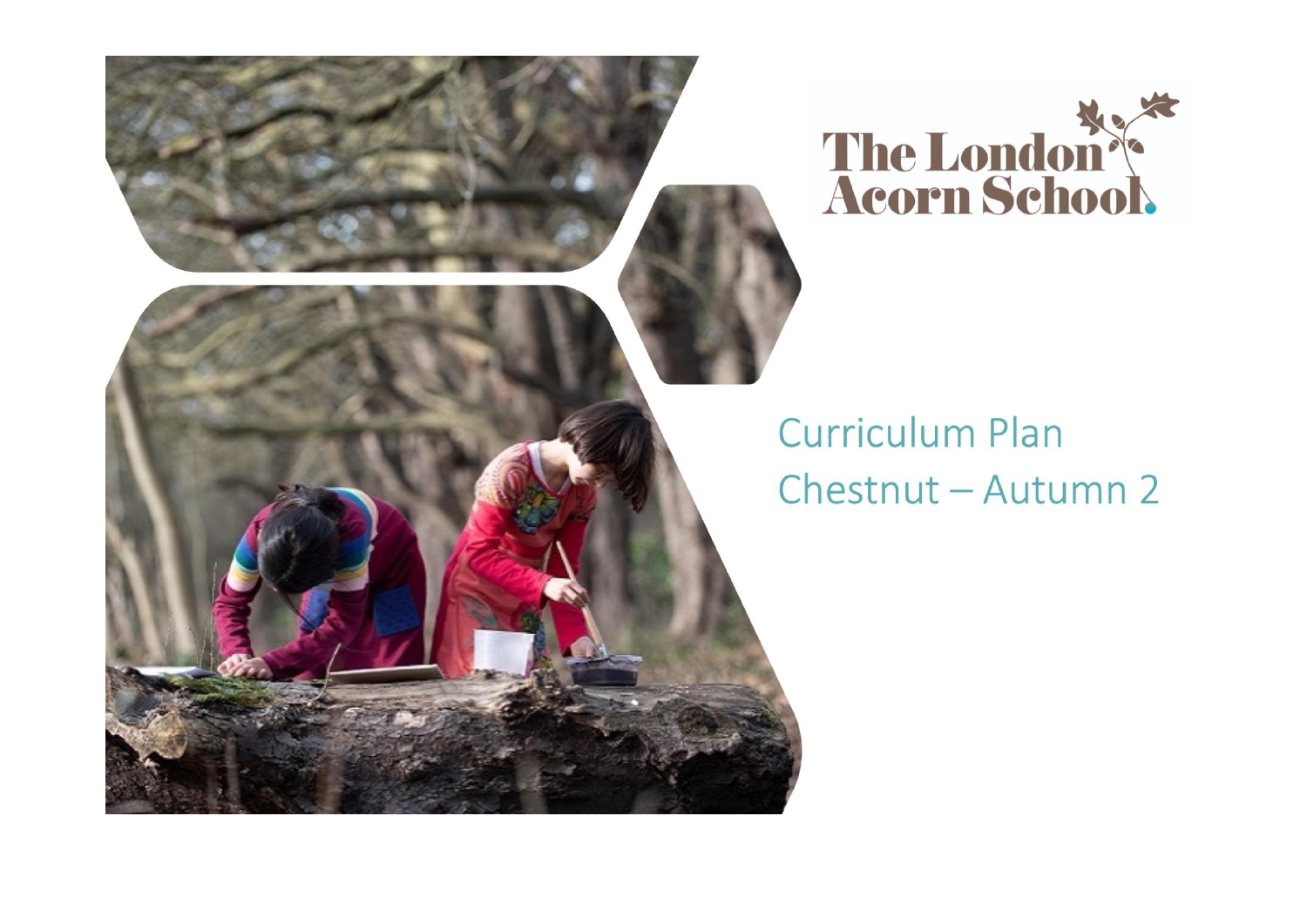

## **Curriculum Plan** Chestnut - Autumn 2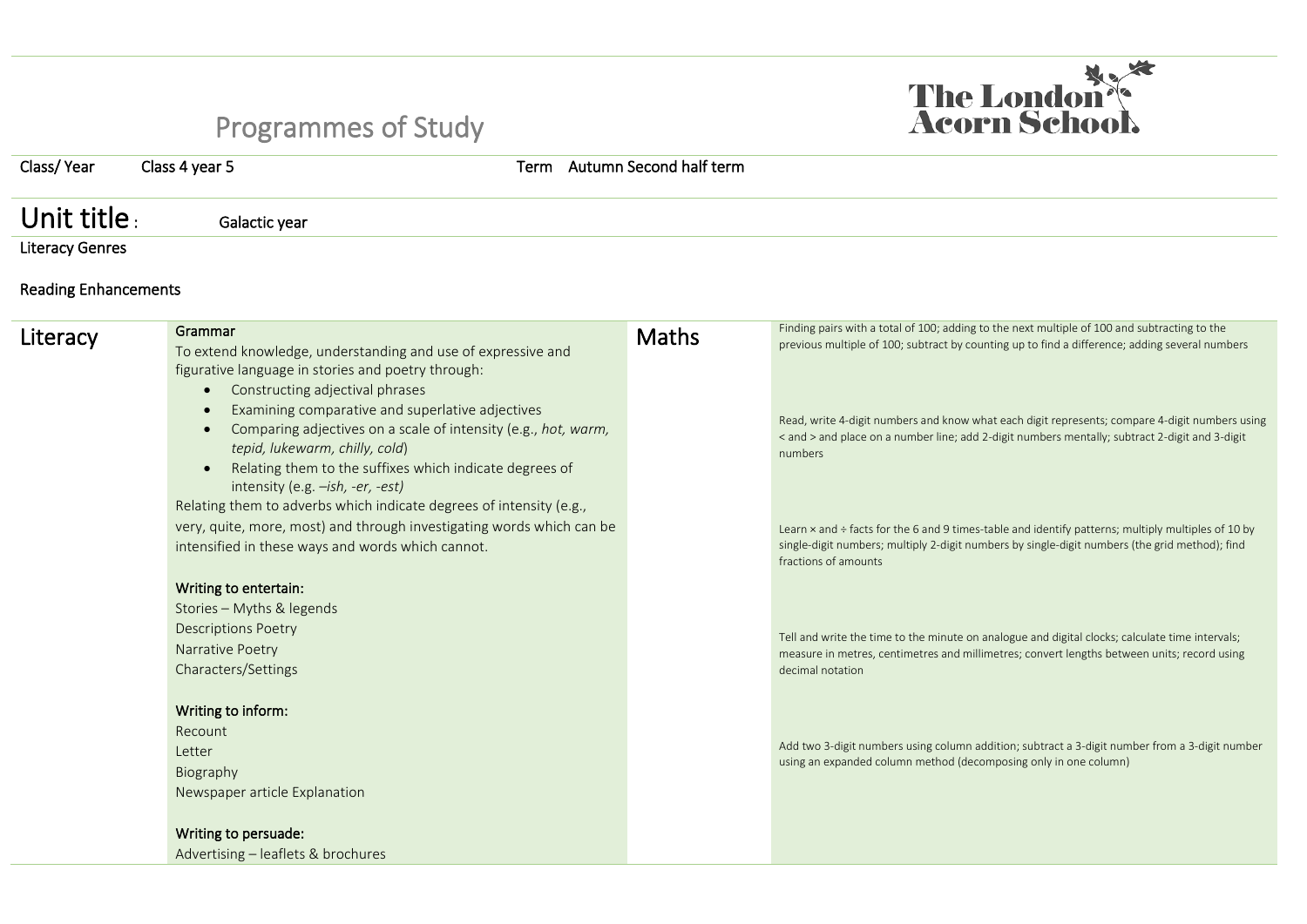## Programmes of Study



| Class/Year                  | Class 4 year 5                                                                                                                                                                                                                               |                                                                                                                                                                                                                                                                                                                                                                                                                                                                                                                                                                                                                   | Term Autumn Second half term |                                                                                                                                                                                                                                                                                                                                                                                                                                                                                                                                                                                                                                                                                                                                                                                                                                                                                                                                                                                                                                           |  |  |  |
|-----------------------------|----------------------------------------------------------------------------------------------------------------------------------------------------------------------------------------------------------------------------------------------|-------------------------------------------------------------------------------------------------------------------------------------------------------------------------------------------------------------------------------------------------------------------------------------------------------------------------------------------------------------------------------------------------------------------------------------------------------------------------------------------------------------------------------------------------------------------------------------------------------------------|------------------------------|-------------------------------------------------------------------------------------------------------------------------------------------------------------------------------------------------------------------------------------------------------------------------------------------------------------------------------------------------------------------------------------------------------------------------------------------------------------------------------------------------------------------------------------------------------------------------------------------------------------------------------------------------------------------------------------------------------------------------------------------------------------------------------------------------------------------------------------------------------------------------------------------------------------------------------------------------------------------------------------------------------------------------------------------|--|--|--|
| Unit title:                 | Galactic year                                                                                                                                                                                                                                |                                                                                                                                                                                                                                                                                                                                                                                                                                                                                                                                                                                                                   |                              |                                                                                                                                                                                                                                                                                                                                                                                                                                                                                                                                                                                                                                                                                                                                                                                                                                                                                                                                                                                                                                           |  |  |  |
| <b>Literacy Genres</b>      |                                                                                                                                                                                                                                              |                                                                                                                                                                                                                                                                                                                                                                                                                                                                                                                                                                                                                   |                              |                                                                                                                                                                                                                                                                                                                                                                                                                                                                                                                                                                                                                                                                                                                                                                                                                                                                                                                                                                                                                                           |  |  |  |
| <b>Reading Enhancements</b> |                                                                                                                                                                                                                                              |                                                                                                                                                                                                                                                                                                                                                                                                                                                                                                                                                                                                                   |                              |                                                                                                                                                                                                                                                                                                                                                                                                                                                                                                                                                                                                                                                                                                                                                                                                                                                                                                                                                                                                                                           |  |  |  |
| Literacy                    | Grammar<br>$\bullet$<br>Writing to entertain:<br>Stories - Myths & legends<br><b>Descriptions Poetry</b><br>Narrative Poetry<br>Characters/Settings<br>Writing to inform:<br>Recount<br>Letter<br>Biography<br>Newspaper article Explanation | To extend knowledge, understanding and use of expressive and<br>figurative language in stories and poetry through:<br>Constructing adjectival phrases<br>Examining comparative and superlative adjectives<br>Comparing adjectives on a scale of intensity (e.g., hot, warm,<br>tepid, lukewarm, chilly, cold)<br>Relating them to the suffixes which indicate degrees of<br>intensity (e.g. -ish, -er, -est)<br>Relating them to adverbs which indicate degrees of intensity (e.g.,<br>very, quite, more, most) and through investigating words which can be<br>intensified in these ways and words which cannot. | <b>Maths</b>                 | Finding pairs with a total of 100; adding to the next multiple of 100 and subtracting to the<br>previous multiple of 100; subtract by counting up to find a difference; adding several numbers<br>Read, write 4-digit numbers and know what each digit represents; compare 4-digit numbers using<br>< and > and place on a number line; add 2-digit numbers mentally; subtract 2-digit and 3-digit<br>numbers<br>Learn x and ÷ facts for the 6 and 9 times-table and identify patterns; multiply multiples of 10 by<br>single-digit numbers; multiply 2-digit numbers by single-digit numbers (the grid method); find<br>fractions of amounts<br>Tell and write the time to the minute on analogue and digital clocks; calculate time intervals;<br>measure in metres, centimetres and millimetres; convert lengths between units; record using<br>decimal notation<br>Add two 3-digit numbers using column addition; subtract a 3-digit number from a 3-digit number<br>using an expanded column method (decomposing only in one column) |  |  |  |
|                             | Writing to persuade:<br>Advertising - leaflets & brochures                                                                                                                                                                                   |                                                                                                                                                                                                                                                                                                                                                                                                                                                                                                                                                                                                                   |                              |                                                                                                                                                                                                                                                                                                                                                                                                                                                                                                                                                                                                                                                                                                                                                                                                                                                                                                                                                                                                                                           |  |  |  |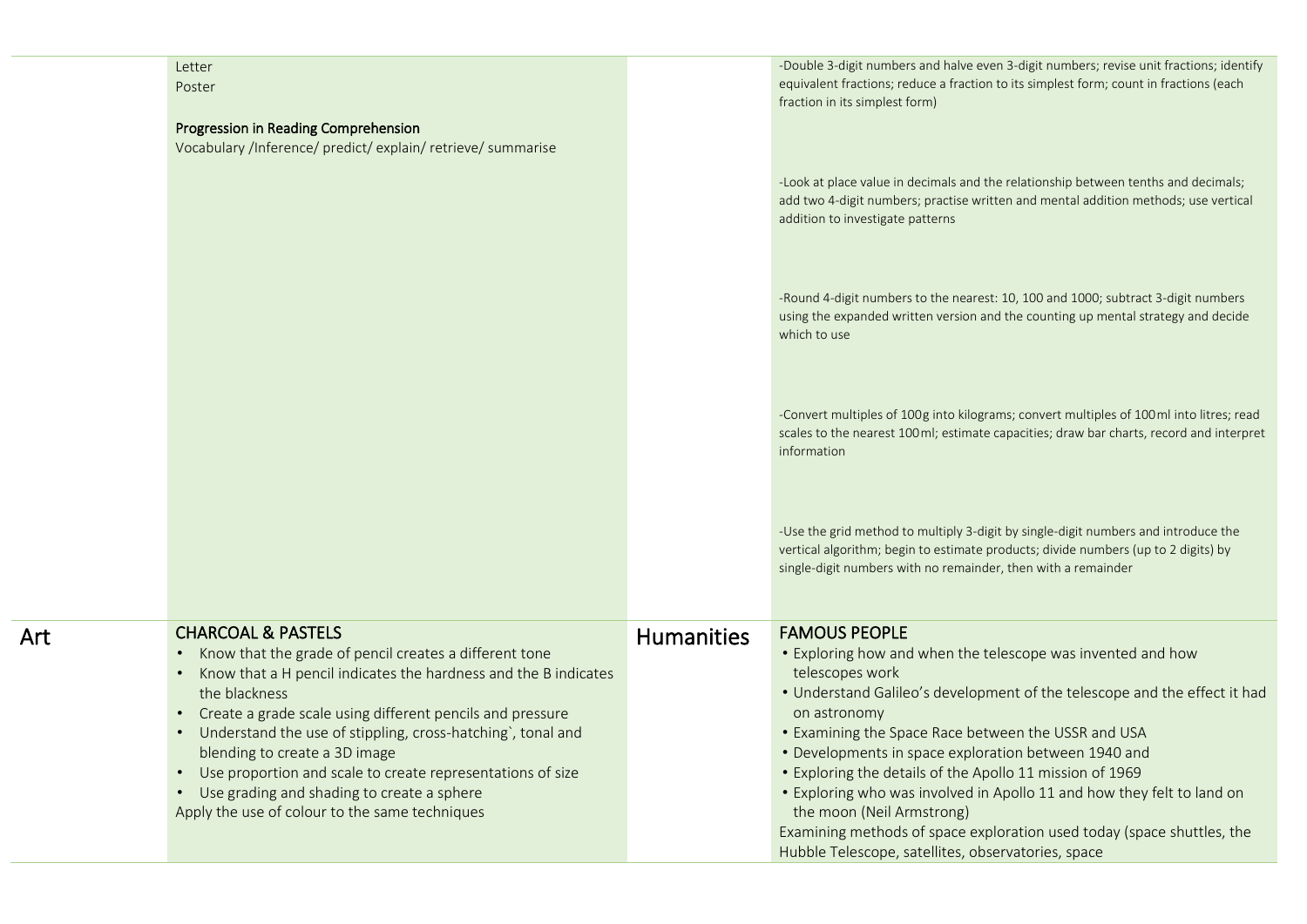| Letter |  |
|--------|--|
|        |  |

Poster

## Progression in Reading Comprehension

Vocabulary /Inference/ predict/ explain/ retrieve/ summarise

-Double 3-digit numbers and halve even 3-digit numbers; revise unit fractions; identify equivalent fractions; reduce a fraction to its simplest form; count in fractions (each fraction in its simplest form)

-Look at place value in decimals and the relationship between tenths and decimals; add two 4-digit numbers; practise written and mental addition methods; use vertical addition to investigate patterns

-Round 4-digit numbers to the nearest: 10, 100 and 1000; subtract 3-digit numbers using the expanded written version and the counting up mental strategy and decide which to use

-Convert multiples of 100 g into kilograms; convert multiples of 100 ml into litres; read scales to the nearest 100 ml; estimate capacities; draw bar charts, record and interpret information

-Use the grid method to multiply 3-digit by single-digit numbers and introduce the vertical algorithm; begin to estimate products; divide numbers (up to 2 digits) by single-digit numbers with no remainder, then with a remainder

| <b>CHARCOAL &amp; PASTELS</b>                                     | Humanities | <b>FAMOUS PEOPLE</b>                                                      |
|-------------------------------------------------------------------|------------|---------------------------------------------------------------------------|
| • Know that the grade of pencil creates a different tone          |            | • Exploring how and when the telescope was invented and how               |
| • Know that a H pencil indicates the hardness and the B indicates |            | telescopes work                                                           |
| the blackness                                                     |            | • Understand Galileo's development of the telescope and the effect it had |
| • Create a grade scale using different pencils and pressure       |            | on astronomy                                                              |
| • Understand the use of stippling, cross-hatching`, tonal and     |            | • Examining the Space Race between the USSR and USA                       |
| blending to create a 3D image                                     |            | • Developments in space exploration between 1940 and                      |
| • Use proportion and scale to create representations of size      |            | • Exploring the details of the Apollo 11 mission of 1969                  |
| • Use grading and shading to create a sphere                      |            | • Exploring who was involved in Apollo 11 and how they felt to land on    |
| Apply the use of colour to the same techniques                    |            | the moon (Neil Armstrong)                                                 |
|                                                                   |            | Examining methods of space exploration used today (space shuttles, the    |
|                                                                   |            | Hubble Telescope, satellites, observatories, space                        |

Art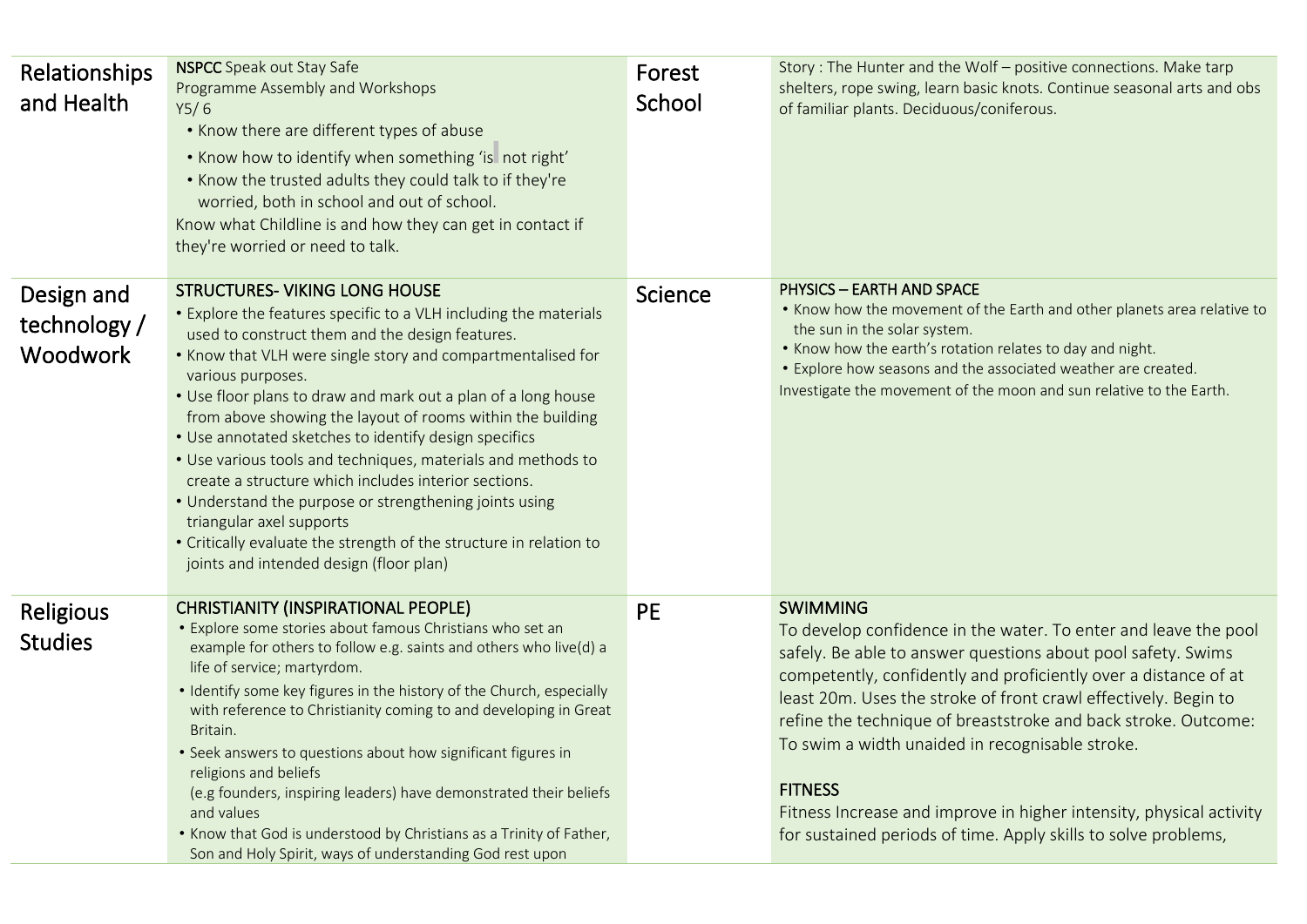| Relationships<br>and Health                   | <b>NSPCC</b> Speak out Stay Safe<br>Programme Assembly and Workshops<br>Y5/6<br>• Know there are different types of abuse<br>. Know how to identify when something 'is not right'<br>. Know the trusted adults they could talk to if they're<br>worried, both in school and out of school.<br>Know what Childline is and how they can get in contact if<br>they're worried or need to talk.                                                                                                                                                                                                                                                                                                                                                                            | Forest<br>School | Story: The Hunter and the Wolf - positive connections. Make tarp<br>shelters, rope swing, learn basic knots. Continue seasonal arts and obs<br>of familiar plants. Deciduous/coniferous.                                                                                                                                                                                                                                                                                                                                                                                 |
|-----------------------------------------------|------------------------------------------------------------------------------------------------------------------------------------------------------------------------------------------------------------------------------------------------------------------------------------------------------------------------------------------------------------------------------------------------------------------------------------------------------------------------------------------------------------------------------------------------------------------------------------------------------------------------------------------------------------------------------------------------------------------------------------------------------------------------|------------------|--------------------------------------------------------------------------------------------------------------------------------------------------------------------------------------------------------------------------------------------------------------------------------------------------------------------------------------------------------------------------------------------------------------------------------------------------------------------------------------------------------------------------------------------------------------------------|
| Design and<br>technology /<br><b>Woodwork</b> | <b>STRUCTURES- VIKING LONG HOUSE</b><br>• Explore the features specific to a VLH including the materials<br>used to construct them and the design features.<br>• Know that VLH were single story and compartmentalised for<br>various purposes.<br>. Use floor plans to draw and mark out a plan of a long house<br>from above showing the layout of rooms within the building<br>• Use annotated sketches to identify design specifics<br>• Use various tools and techniques, materials and methods to<br>create a structure which includes interior sections.<br>• Understand the purpose or strengthening joints using<br>triangular axel supports<br>• Critically evaluate the strength of the structure in relation to<br>joints and intended design (floor plan) | Science          | <b>PHYSICS - EARTH AND SPACE</b><br>. Know how the movement of the Earth and other planets area relative to<br>the sun in the solar system.<br>. Know how the earth's rotation relates to day and night.<br>• Explore how seasons and the associated weather are created.<br>Investigate the movement of the moon and sun relative to the Earth.                                                                                                                                                                                                                         |
| <b>Religious</b><br><b>Studies</b>            | <b>CHRISTIANITY (INSPIRATIONAL PEOPLE)</b><br>• Explore some stories about famous Christians who set an<br>example for others to follow e.g. saints and others who live(d) a<br>life of service; martyrdom.<br>• Identify some key figures in the history of the Church, especially<br>with reference to Christianity coming to and developing in Great<br>Britain.<br>• Seek answers to questions about how significant figures in<br>religions and beliefs<br>(e.g founders, inspiring leaders) have demonstrated their beliefs<br>and values<br>• Know that God is understood by Christians as a Trinity of Father,<br>Son and Holy Spirit, ways of understanding God rest upon                                                                                     | <b>PE</b>        | <b>SWIMMING</b><br>To develop confidence in the water. To enter and leave the pool<br>safely. Be able to answer questions about pool safety. Swims<br>competently, confidently and proficiently over a distance of at<br>least 20m. Uses the stroke of front crawl effectively. Begin to<br>refine the technique of breaststroke and back stroke. Outcome:<br>To swim a width unaided in recognisable stroke.<br><b>FITNESS</b><br>Fitness Increase and improve in higher intensity, physical activity<br>for sustained periods of time. Apply skills to solve problems, |